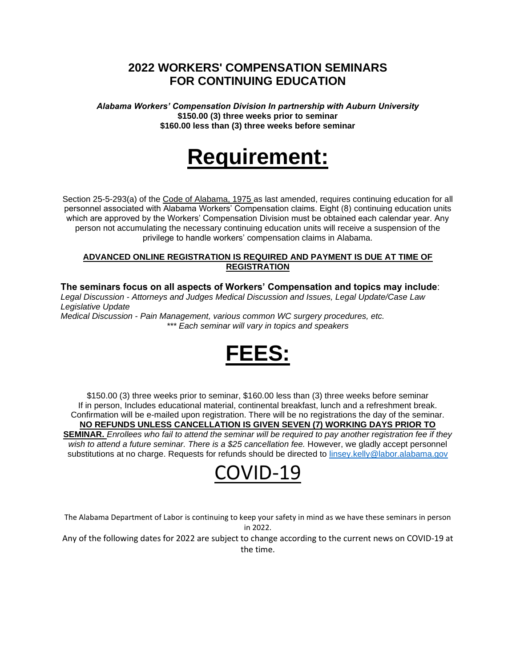## **2022 WORKERS' COMPENSATION SEMINARS FOR CONTINUING EDUCATION**

*Alabama Workers' Compensation Division In partnership with Auburn University* **\$150.00 (3) three weeks prior to seminar \$160.00 less than (3) three weeks before seminar**

# **Requirement:**

Section 25-5-293(a) of the Code of Alabama, 1975 as last amended, requires continuing education for all personnel associated with Alabama Workers' Compensation claims. Eight (8) continuing education units which are approved by the Workers' Compensation Division must be obtained each calendar year. Any person not accumulating the necessary continuing education units will receive a suspension of the privilege to handle workers' compensation claims in Alabama.

#### **ADVANCED ONLINE REGISTRATION IS REQUIRED AND PAYMENT IS DUE AT TIME OF REGISTRATION**

**The seminars focus on all aspects of Workers' Compensation and topics may include**: *Legal Discussion - Attorneys and Judges Medical Discussion and Issues, Legal Update/Case Law Legislative Update*

*Medical Discussion - Pain Management, various common WC surgery procedures, etc. \*\*\* Each seminar will vary in topics and speakers*



\$150.00 (3) three weeks prior to seminar, \$160.00 less than (3) three weeks before seminar If in person, Includes educational material, continental breakfast, lunch and a refreshment break. Confirmation will be e-mailed upon registration. There will be no registrations the day of the seminar. **NO REFUNDS UNLESS CANCELLATION IS GIVEN SEVEN (7) WORKING DAYS PRIOR TO SEMINAR.** *Enrollees who fail to attend the seminar will be required to pay another registration fee if they*  wish to attend a future seminar. There is a \$25 cancellation fee. However, we gladly accept personnel substitutions at no charge. Requests for refunds should be directed to [linsey.kelly@labor.alabama.gov](mailto:linsey.kelly@labor.alabama.gov)

## COVID-19

The Alabama Department of Labor is continuing to keep your safety in mind as we have these seminars in person in 2022.

Any of the following dates for 2022 are subject to change according to the current news on COVID-19 at the time.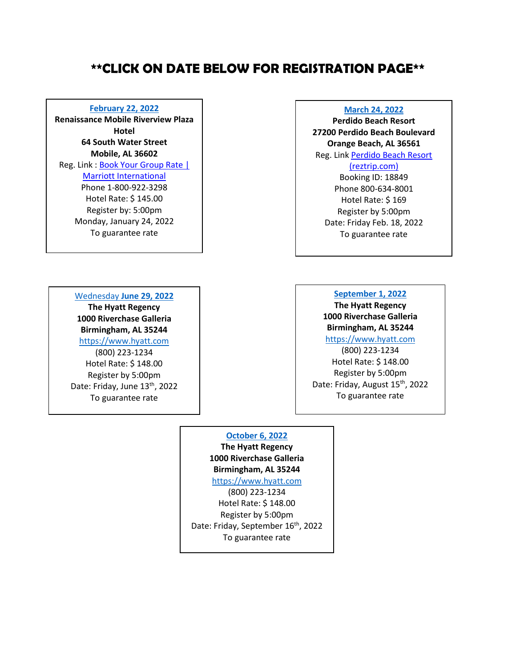## **\*\*CLICK ON DATE BELOW FOR REGISTRATION PAGE\*\***

#### **[February 22, 2022](https://mell-base.uce.auburn.edu/wconnect/CourseStatus.awp?&course=C220222)**

**Renaissance Mobile Riverview Plaza Hotel 64 South Water Street Mobile, AL 36602** Reg. Link : Book Your Group Rate |

[Marriott International](https://www.marriott.com/event-reservations/reservation-link.mi?id=1623786398049&key=GRP&app=resvlink) Phone 1-800-922-3298 Hotel Rate: \$ 145.00 Register by: 5:00pm Monday, January 24, 2022 To guarantee rate

#### Wednesday **[June 29, 2022](https://mell-base.uce.auburn.edu/wconnect/CourseStatus.awp?&course=C220629)**

**The Hyatt Regency 1000 Riverchase Galleria Birmingham, AL 35244** [https://www.hyatt.com](https://www.hyatt.com/en-US/group-booking/BHMHR/G-5SGA) (800) 223-1234 Hotel Rate: \$ 148.00 Register by 5:00pm Date: Friday, June 13<sup>th</sup>, 2022 To guarantee rate

#### **[March 24, 2022](https://mell-base.uce.auburn.edu/wconnect/CourseStatus.awp?&course=C220323)**

**Perdido Beach Resort 27200 Perdido Beach Boulevard Orange Beach, AL 36561** Reg. Link [Perdido Beach Resort](https://perdidobeachresort.reztrip.com/classic/en/special_offer?action=show&controller=landings&locale=en&rate_code%5b%5d=18849&rate_code%5b%5d=18849&starting_page=special_offer) 

#### [\(reztrip.com\)](https://perdidobeachresort.reztrip.com/classic/en/special_offer?action=show&controller=landings&locale=en&rate_code%5b%5d=18849&rate_code%5b%5d=18849&starting_page=special_offer)

Booking ID: 18849 Phone 800-634-8001 Hotel Rate: \$ 169 Register by 5:00pm Date: Friday Feb. 18, 2022 To guarantee rate

#### **[September](https://mell-base.uce.auburn.edu/wconnect/CourseStatus.awp?&course=C220831) 1, 2022**

**The Hyatt Regency 1000 Riverchase Galleria Birmingham, AL 35244**

[https://www.hyatt.com](https://www.hyatt.com/en-US/group-booking/BHMHR/G-5WST?src=envision_email_grpreserv_ENG_20220216_GroupBooking_TC000000170A000010937ENG_G-_159216)

(800) 223-1234 Hotel Rate: \$ 148.00 Register by 5:00pm Date: Friday, August 15<sup>th</sup>, 2022 To guarantee rate

## **[October 6, 2022](https://mell-base.uce.auburn.edu/wconnect/CourseStatus.awp?&course=C221006)**

**The Hyatt Regency 1000 Riverchase Galleria Birmingham, AL 35244**

[https://www.hyatt.com](https://www.hyatt.com/en-US/group-booking/BHMHR/G-5WOO?src=envision_email_grpreserv_ENG_20220216_GroupBooking_TC000000170A000007762ENG_G-_159224) (800) 223-1234

Hotel Rate: \$ 148.00 Register by 5:00pm Date: Friday, September 16<sup>th</sup>, 2022 To guarantee rate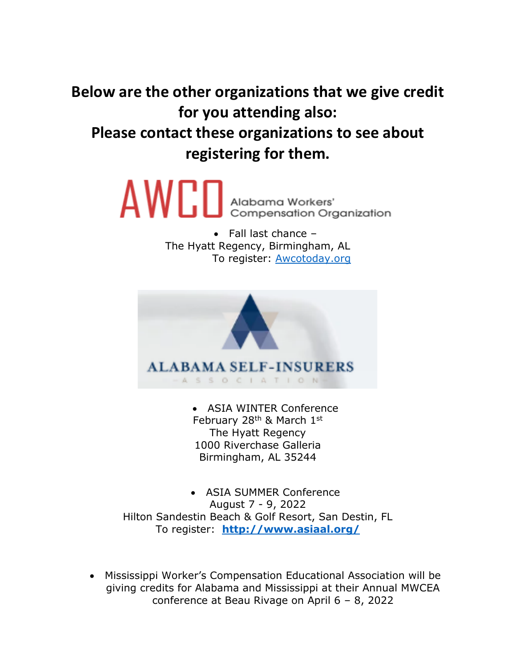**Below are the other organizations that we give credit for you attending also: Please contact these organizations to see about registering for them.**

> $\mathsf{AWED}$  Alabama Workers' **Compensation Organization**

> > • Fall last chance – The Hyatt Regency, Birmingham, AL To register: **Awcotoday.org**



• ASIA WINTER Conference February 28<sup>th</sup> & March 1st The Hyatt Regency 1000 Riverchase Galleria Birmingham, AL 35244

• ASIA SUMMER Conference August 7 - 9, 2022 Hilton Sandestin Beach & Golf Resort, San Destin, FL To register: **<http://www.asiaal.org/>**

• Mississippi Worker's Compensation Educational Association will be giving credits for Alabama and Mississippi at their Annual MWCEA conference at Beau Rivage on April 6 – 8, 2022